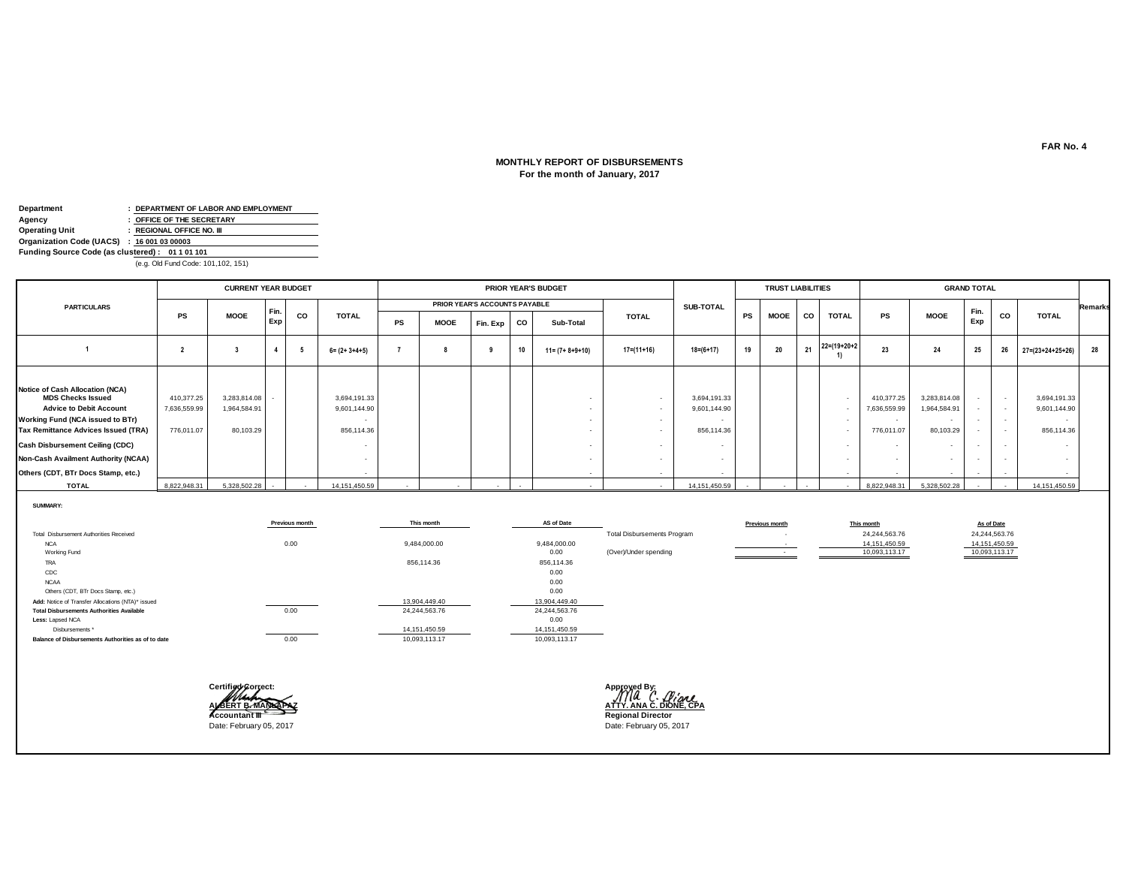# **MONTHLY REPORT OF DISBURSEMENTS For the month of January, 2017**

| Department                                      | : DEPARTMENT OF LABOR AND EMPLOYMENT |
|-------------------------------------------------|--------------------------------------|
| Agency                                          | : OFFICE OF THE SECRETARY            |
| <b>Operating Unit</b>                           | : REGIONAL OFFICE NO. III            |
| Organization Code (UACS) : 16 001 03 00003      |                                      |
| Funding Source Code (as clustered): 01 1 01 101 |                                      |
|                                                 | (e.g. Old Fund Code: 101,102, 151)   |

|                                                                                                                                                                                                                                                                                                        |                                          | <b>CURRENT YEAR BUDGET</b>                |             |    |                                            |    | <b>PRIOR YEAR'S BUDGET</b> |                               |           |                         |              | <b>TRUST LIABILITIES</b>                             |           |             |           |                          | <b>GRAND TOTAL</b>                                 |                                           |             |                          |                                                      |                |  |
|--------------------------------------------------------------------------------------------------------------------------------------------------------------------------------------------------------------------------------------------------------------------------------------------------------|------------------------------------------|-------------------------------------------|-------------|----|--------------------------------------------|----|----------------------------|-------------------------------|-----------|-------------------------|--------------|------------------------------------------------------|-----------|-------------|-----------|--------------------------|----------------------------------------------------|-------------------------------------------|-------------|--------------------------|------------------------------------------------------|----------------|--|
| <b>PARTICULARS</b>                                                                                                                                                                                                                                                                                     |                                          |                                           |             |    |                                            |    |                            | PRIOR YEAR'S ACCOUNTS PAYABLE |           |                         |              | SUB-TOTAL                                            |           |             |           |                          |                                                    |                                           |             |                          |                                                      | <b>Remarks</b> |  |
|                                                                                                                                                                                                                                                                                                        | <b>PS</b>                                | <b>MOOE</b>                               | Fin.<br>Exp | CO | <b>TOTAL</b>                               | PS | <b>MOOE</b>                | Fin. Exp                      | <b>CO</b> | Sub-Total               | <b>TOTAL</b> |                                                      | <b>PS</b> | <b>MOOE</b> | <b>CO</b> | <b>TOTAL</b>             | <b>PS</b>                                          | <b>MOOE</b>                               | Fin.<br>Exp | CO                       | <b>TOTAL</b>                                         |                |  |
|                                                                                                                                                                                                                                                                                                        |                                          |                                           |             |    | $6 = (2 + 3 + 4 + 5)$                      |    |                            |                               | 10        | $11 = (7 + 8 + 9 + 10)$ | $17=(11+16)$ | $18 = (6 + 17)$                                      | 19        | 20          |           | $21 \t22 = (19+20+2)$    | 23                                                 | 24                                        | 25          | 26                       | $27 = (23 + 24 + 25 + 26)$                           | 28             |  |
| Notice of Cash Allocation (NCA)<br><b>MDS Checks Issued</b><br><b>Advice to Debit Account</b><br>Working Fund (NCA issued to BTr)<br><b>Tax Remittance Advices Issued (TRA)</b><br><b>Cash Disbursement Ceiling (CDC)</b><br>Non-Cash Availment Authority (NCAA)<br>Others (CDT, BTr Docs Stamp, etc.) | 410,377.25<br>7,636,559.99<br>776,011.07 | 3,283,814.08<br>1,964,584.91<br>80,103.29 |             |    | 3,694,191.33<br>9,601,144.90<br>856,114.36 |    |                            |                               |           |                         | $\sim$       | 3,694,191.33<br>9,601,144.90<br>$\sim$<br>856,114.36 |           |             |           |                          | 410,377.25<br>7,636,559.99<br>$\sim$<br>776,011.07 | 3,283,814.08<br>1,964,584.91<br>80,103.29 |             | $\overline{\phantom{a}}$ | 3,694,191.33<br>9,601,144.90<br>$\sim$<br>856,114.36 |                |  |
| <b>TOTAL</b>                                                                                                                                                                                                                                                                                           | 8,822,948.31                             | 5,328,502.28                              | $\sim$      |    | 14, 151, 450.59                            |    |                            |                               |           |                         | $\sim$       | 14, 151, 450.59                                      |           | $\sim$      |           | $\overline{\phantom{a}}$ | 8,822,948.31                                       | 5,328,502.28                              |             |                          | 14, 151, 450.59                                      |                |  |

**SUMMARY:**

|                                                    | Previous month | This month    | AS of Date    |                                    | Previous month | This month    | As of Date    |  |
|----------------------------------------------------|----------------|---------------|---------------|------------------------------------|----------------|---------------|---------------|--|
| Total Disbursement Authorities Received            |                |               |               | <b>Total Disbursements Program</b> |                | 24,244,563.76 | 24,244,563.76 |  |
| <b>NCA</b>                                         | 0.00           | 9,484,000.00  | 9,484,000.00  |                                    |                | 14,151,450.59 | 14,151,450.59 |  |
| Working Fund                                       |                |               | 0.00          | (Over)/Under spending              |                | 10.093.113.17 | 10,093,113.17 |  |
| TRA                                                |                | 856,114.36    | 856,114.36    |                                    |                |               |               |  |
| CDC                                                |                |               | 0.00          |                                    |                |               |               |  |
| <b>NCAA</b>                                        |                |               | 0.00          |                                    |                |               |               |  |
| Others (CDT, BTr Docs Stamp, etc.)                 |                |               | 0.00          |                                    |                |               |               |  |
| Add: Notice of Transfer Allocations (NTA)* issued  |                | 13,904,449.40 | 13,904,449.40 |                                    |                |               |               |  |
| <b>Total Disbursements Authorities Available</b>   | 0.00           | 24,244,563.76 | 24,244,563.76 |                                    |                |               |               |  |
| Less: Lapsed NCA                                   |                |               | 0.00          |                                    |                |               |               |  |
| Disbursements *                                    |                | 14,151,450.59 | 14,151,450.59 |                                    |                |               |               |  |
| Balance of Disbursements Authorities as of to date | 0.00           | 10,093,113.17 | 10,093,113.17 |                                    |                |               |               |  |



**ALBERT B. MANLAPAZ ATTY. ANA C. DIONE, CPA**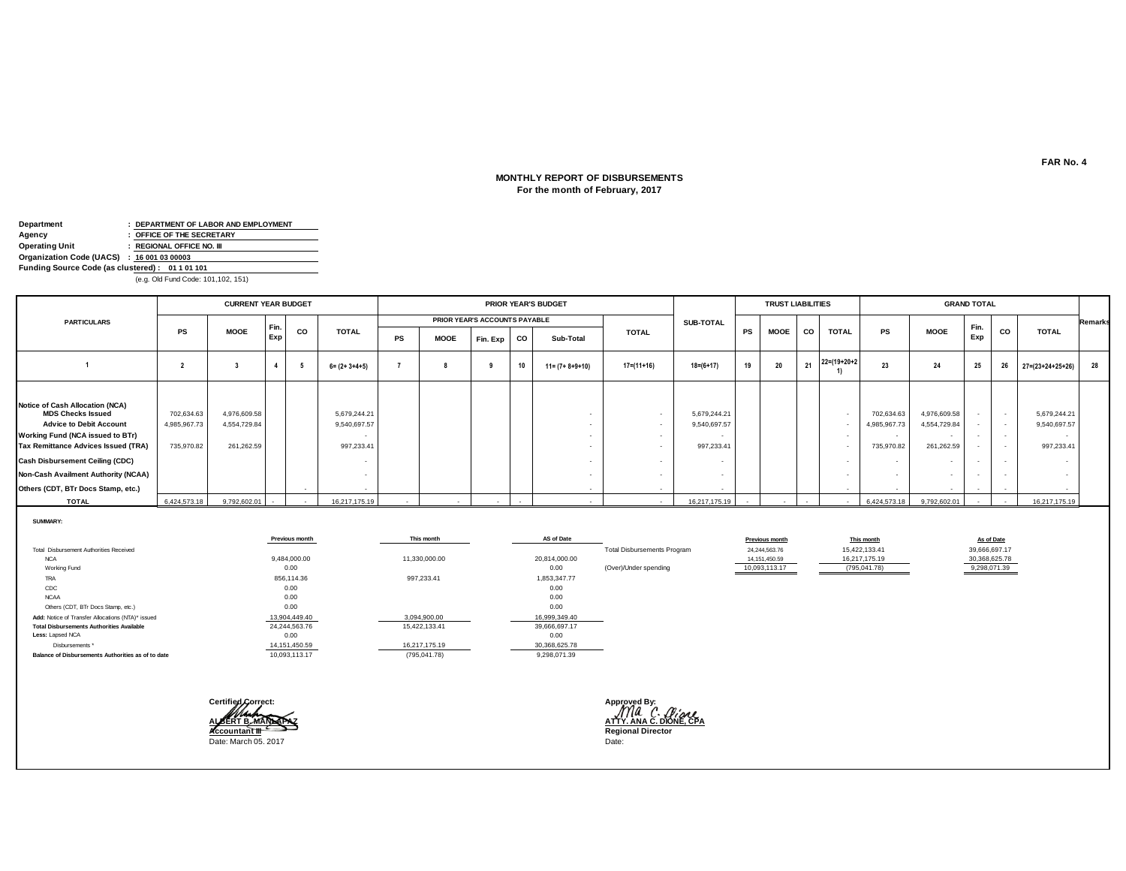### **For the month of February, 2017 MONTHLY REPORT OF DISBURSEMENTS**

| Department                                      | : DEPARTMENT OF LABOR AND EMPLOYMENT |
|-------------------------------------------------|--------------------------------------|
| Agency                                          | : OFFICE OF THE SECRETARY            |
| <b>Operating Unit</b>                           | : REGIONAL OFFICE NO. III            |
| Organization Code (UACS) : 16 001 03 00003      |                                      |
| Funding Source Code (as clustered): 01 1 01 101 |                                      |
|                                                 | (e.g. Old Fund Code: 101 102 151)    |

(e.g. Old Fund Code: 101,102, 151)

|                                                                                                                                                                                                                                                                                                        |                                          | <b>CURRENT YEAR BUDGET</b>                 |            |    |                                            |           | <b>PRIOR YEAR'S BUDGET</b> |                                      |    |                         |              |                                            | <b>TRUST LIABILITIES</b> |             |           | <b>GRAND TOTAL</b>   |                                                                                |                                                                        |             |           |                                            |                |
|--------------------------------------------------------------------------------------------------------------------------------------------------------------------------------------------------------------------------------------------------------------------------------------------------------|------------------------------------------|--------------------------------------------|------------|----|--------------------------------------------|-----------|----------------------------|--------------------------------------|----|-------------------------|--------------|--------------------------------------------|--------------------------|-------------|-----------|----------------------|--------------------------------------------------------------------------------|------------------------------------------------------------------------|-------------|-----------|--------------------------------------------|----------------|
| <b>PARTICULARS</b>                                                                                                                                                                                                                                                                                     |                                          |                                            |            |    |                                            |           |                            | <b>PRIOR YEAR'S ACCOUNTS PAYABLE</b> |    |                         |              | SUB-TOTAL                                  |                          |             |           |                      |                                                                                |                                                                        |             |           |                                            | <b>Remarks</b> |
|                                                                                                                                                                                                                                                                                                        | <b>PS</b>                                | <b>MOOE</b>                                | Fin<br>Exp | CO | <b>TOTAL</b>                               | <b>PS</b> | <b>MOOE</b>                | Fin. Exp CO                          |    | Sub-Total               | <b>TOTAL</b> |                                            | <b>PS</b>                | <b>MOOE</b> | <b>CO</b> | <b>TOTAL</b>         | <b>PS</b>                                                                      | <b>MOOE</b>                                                            | Fin.<br>Exp | <b>CO</b> | <b>TOTAL</b>                               |                |
|                                                                                                                                                                                                                                                                                                        |                                          |                                            |            |    | $6 = (2 + 3 + 4 + 5)$                      |           |                            |                                      | 10 | $11 = (7 + 8 + 9 + 10)$ | $17=(11+16)$ | $18 = (6 + 17)$                            | 19                       | 20          | 21        | $22 = (19 + 20 + 2)$ | 23                                                                             | 24                                                                     | 25          | 26        | $27 = (23 + 24 + 25 + 26)$                 | 28             |
| Notice of Cash Allocation (NCA)<br><b>MDS Checks Issued</b><br><b>Advice to Debit Account</b><br>Working Fund (NCA issued to BTr)<br><b>Tax Remittance Advices Issued (TRA)</b><br><b>Cash Disbursement Ceiling (CDC)</b><br>Non-Cash Availment Authority (NCAA)<br>Others (CDT, BTr Docs Stamp, etc.) | 702,634.63<br>4,985,967.73<br>735,970.82 | 4,976,609.58<br>4,554,729.84<br>261,262.59 |            |    | 5,679,244.21<br>9,540,697.57<br>997,233.41 |           |                            |                                      |    |                         | $\sim$       | 5,679,244.21<br>9,540,697.57<br>997,233.41 |                          |             |           |                      | 702,634.63<br>4,985,967.73<br>$\overline{\phantom{a}}$<br>735,970.82<br>$\sim$ | 4,976,609.58<br>4,554,729.84<br>$\overline{\phantom{a}}$<br>261,262.59 | $\sim$      | $\sim$    | 5,679,244.21<br>9,540,697.57<br>997,233.41 |                |
| <b>TOTAL</b>                                                                                                                                                                                                                                                                                           | 6,424,573.18                             | 9,792,602.01 -                             |            |    | 16,217,175.19                              |           |                            |                                      |    |                         | $\sim$       | 16,217,175.19                              |                          |             | $\sim$    |                      |                                                                                | 6,424,573.18 9,792,602.01                                              |             |           | 16,217,175.19                              |                |

**SUMMARY:**

|                                                    | Previous month | This month    | AS of Date    |                                    | <b>Previous month</b> | This month    | As of Date    |
|----------------------------------------------------|----------------|---------------|---------------|------------------------------------|-----------------------|---------------|---------------|
| Total Disbursement Authorities Received            |                |               |               | <b>Total Disbursements Program</b> | 24, 244, 563. 76      | 15,422,133.41 | 39,666,697.17 |
| <b>NCA</b>                                         | 9,484,000.00   | 11,330,000.00 | 20,814,000.00 |                                    | 14, 151, 450.59       | 16,217,175.19 | 30,368,625.78 |
| Working Fund                                       | 0.00           |               | 0.00          | (Over)/Under spending              | 10,093,113.17         | (795, 041.78) | 9,298,071.39  |
| TRA                                                | 856,114.36     | 997,233.41    | 1,853,347.77  |                                    |                       |               |               |
| CDC                                                | 0.00           |               | 0.00          |                                    |                       |               |               |
| <b>NCAA</b>                                        | 0.00           |               | 0.00          |                                    |                       |               |               |
| Others (CDT, BTr Docs Stamp, etc.)                 | 0.00           |               | 0.00          |                                    |                       |               |               |
| Add: Notice of Transfer Allocations (NTA)* issued  | 13,904,449.40  | 3,094,900.00  | 16,999,349.40 |                                    |                       |               |               |
| <b>Total Disbursements Authorities Available</b>   | 24,244,563.76  | 15,422,133.41 | 39,666,697.17 |                                    |                       |               |               |
| Less: Lapsed NCA                                   | 0.00           |               | 0.00          |                                    |                       |               |               |
| Disbursements*                                     | 14,151,450.59  | 16,217,175.19 | 30,368,625.78 |                                    |                       |               |               |
| Balance of Disbursements Authorities as of to date | 10,093,113.17  | (795, 041.78) | 9,298,071.39  |                                    |                       |               |               |



**ALBERT B. MANLAPAZ ATTY. ANA C. DIONE, CPA**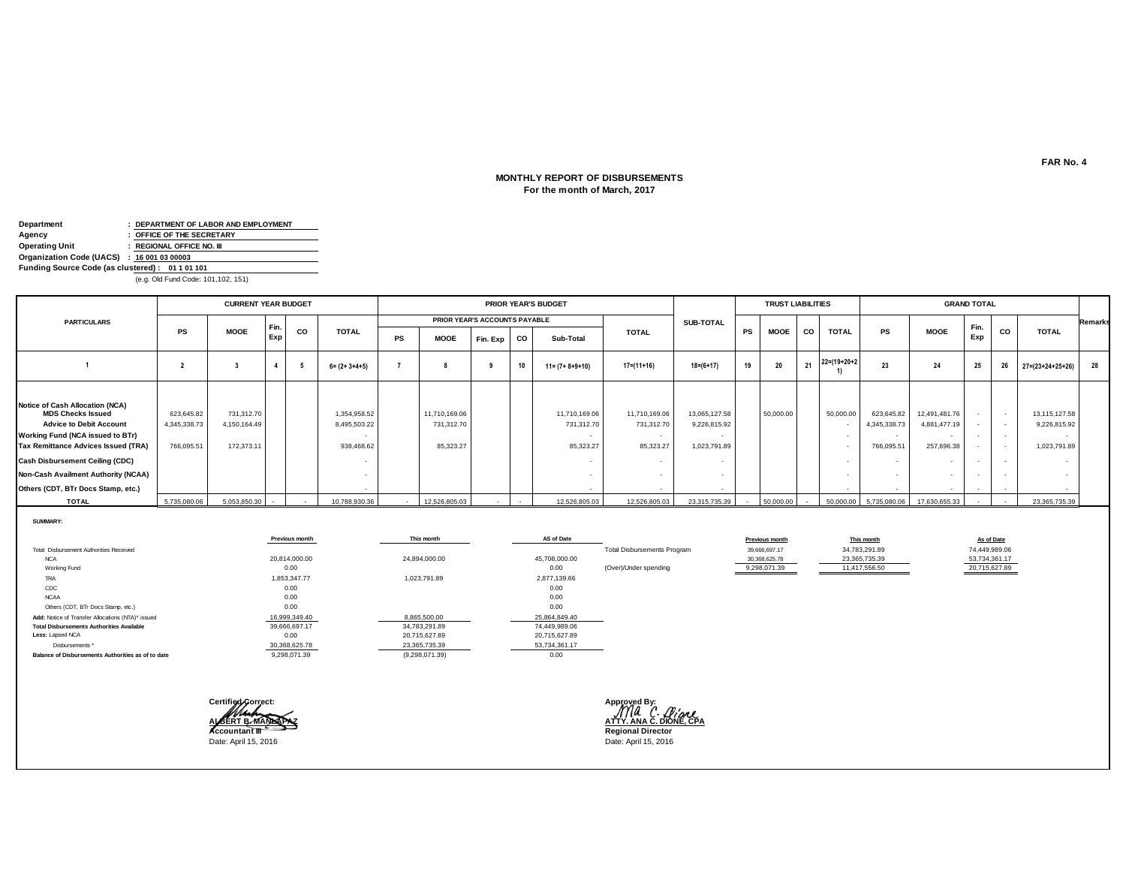### **For the month of March, 2017 MONTHLY REPORT OF DISBURSEMENTS**

| Department                                      |  | : DEPARTMENT OF LABOR AND EMPLOYMENT |  |  |  |  |  |
|-------------------------------------------------|--|--------------------------------------|--|--|--|--|--|
| Agency                                          |  | : OFFICE OF THE SECRETARY            |  |  |  |  |  |
| <b>Operating Unit</b>                           |  | : REGIONAL OFFICE NO. III            |  |  |  |  |  |
| Organization Code (UACS) : 16 001 03 00003      |  |                                      |  |  |  |  |  |
| Funding Source Code (as clustered): 01 1 01 101 |  |                                      |  |  |  |  |  |
|                                                 |  | (e.g. Old Fund Code: 101,102, 151)   |  |  |  |  |  |

**PS MOOE Fin. Exp CO Sub-Total <sup>2</sup> <sup>3</sup> <sup>4</sup> 5 6= (2+ 3+4+5) <sup>7</sup> <sup>8</sup> <sup>9</sup> <sup>10</sup> 11= (7+ 8+9+10) 17=(11+16) 18=(6+17) <sup>19</sup> <sup>20</sup> <sup>21</sup> 22=(19+20+2 21**  $\begin{bmatrix} 22 = (19 + 20 + 2) \\ 1 \end{bmatrix}$  **23 24 25 26**  $\begin{bmatrix} 27 = (23 + 24 + 25 + 26) \\ 27 = (23 + 24 + 25 + 26) \end{bmatrix}$  **28 Notice of Cash Allocation (NCA) MDS Checks Issued** 623,645.82 731,312.70 1,354,958.52 11,710,169.06 11,710,169.06 11,710,169.06 13,065,127.58 50,000.00 50,000.00 623,645.82 12,491,481.76 - - 13,115,127.58 **Advice to Debit Account** 4,345,338.73 4,150,164.49 8,495,503.22 731,312.70 731,312.70 731,312.70 9,226,815.92 - 4,345,338.73 4,881,477.19 - - 9,226,815.92 **Working Fund (NCA issued to BTr)** - - - - - - - - - - **Tax Remittance Advices Issued (TRA)** 766,095.51 172,373.11 | 85,323.468.62 85,323.27 85,323.27 85,323.27 85,323.27 1,023,791.89 | - 766,095.51 257,696.38 | - 1,023,791.89 **Cash Disbursement Ceiling (CDC)** - - - - - - - - - - **Non-Cash Availment Authority (NCAA)** - - - - - - - - - - Others (CDT, BTr Docs Stamp, etc.) **TOTAL** 5,735,080.06 5,053,850.30 - 12,788,930.36 - 12,526,805.03 - 12,526,805.03 12,526,805.03 23,315,735.39 - 50,000.00 5,735,080.06 17,630,655.33 - 23,365,735.39 **1** PS **|** MOOE  $\left[\begin{matrix} \bar{r}n \end{matrix}\right]$  CO | TOTAL | TOTAL | TOTAL | TOTAL | TOTAL | PS | MOOE | CO | TOTAL **MOOE Exp SUB-TOTAL Remarks**  $\begin{array}{|c|c|c|}\n\hline\n\text{Fin.} & \text{co} & \text{total}\n\end{array}$ **Exp GRAND TOTAL PS MOOE PARTICULARS PRIOR YEAR'S ACCOUNTS PAYABLE CURRENT YEAR BUDGET PRIOR YEAR'S BUDGET CO TOTAL TOTAL TRUST LIABILITIES**

**SUMMARY:**

|                                                    | Previous month | This month     | AS of Date    |                                    | Previous month | This month    | As of Date    |
|----------------------------------------------------|----------------|----------------|---------------|------------------------------------|----------------|---------------|---------------|
| Total Disbursement Authorities Received            |                |                |               | <b>Total Disbursements Program</b> | 39,666,697.17  | 34,783,291.89 | 74,449,989.06 |
| <b>NCA</b>                                         | 20,814,000.00  | 24,894,000.00  | 45,708,000.00 |                                    | 30,368,625.78  | 23,365,735.39 | 53,734,361.17 |
| Working Fund                                       | 0.00           |                | 0.00          | (Over)/Under spending              | 9,298,071.39   | 11,417,556.50 | 20,715,627.89 |
| TRA                                                | 1,853,347.77   | 1,023,791.89   | 2,877,139.66  |                                    |                |               |               |
| CDC                                                | 0.00           |                | 0.00          |                                    |                |               |               |
| <b>NCAA</b>                                        | 0.00           |                | 0.00          |                                    |                |               |               |
| Others (CDT, BTr Docs Stamp, etc.)                 | 0.00           |                | 0.00          |                                    |                |               |               |
| Add: Notice of Transfer Allocations (NTA)* issued  | 16,999,349.40  | 8,865,500.00   | 25,864,849.40 |                                    |                |               |               |
| <b>Total Disbursements Authorities Available</b>   | 39,666,697.17  | 34,783,291.89  | 74,449,989.06 |                                    |                |               |               |
| Less: Lapsed NCA                                   | 0.00           | 20,715,627.89  | 20,715,627.89 |                                    |                |               |               |
| Disbursements*                                     | 30,368,625.78  | 23,365,735.39  | 53,734,361.17 |                                    |                |               |               |
| Balance of Disbursements Authorities as of to date | 9,298,071.39   | (9,298,071.39) | 0.00          |                                    |                |               |               |



**ALBERT B. MANLAPAZ ATTY. ANA C. DIONE, CPA**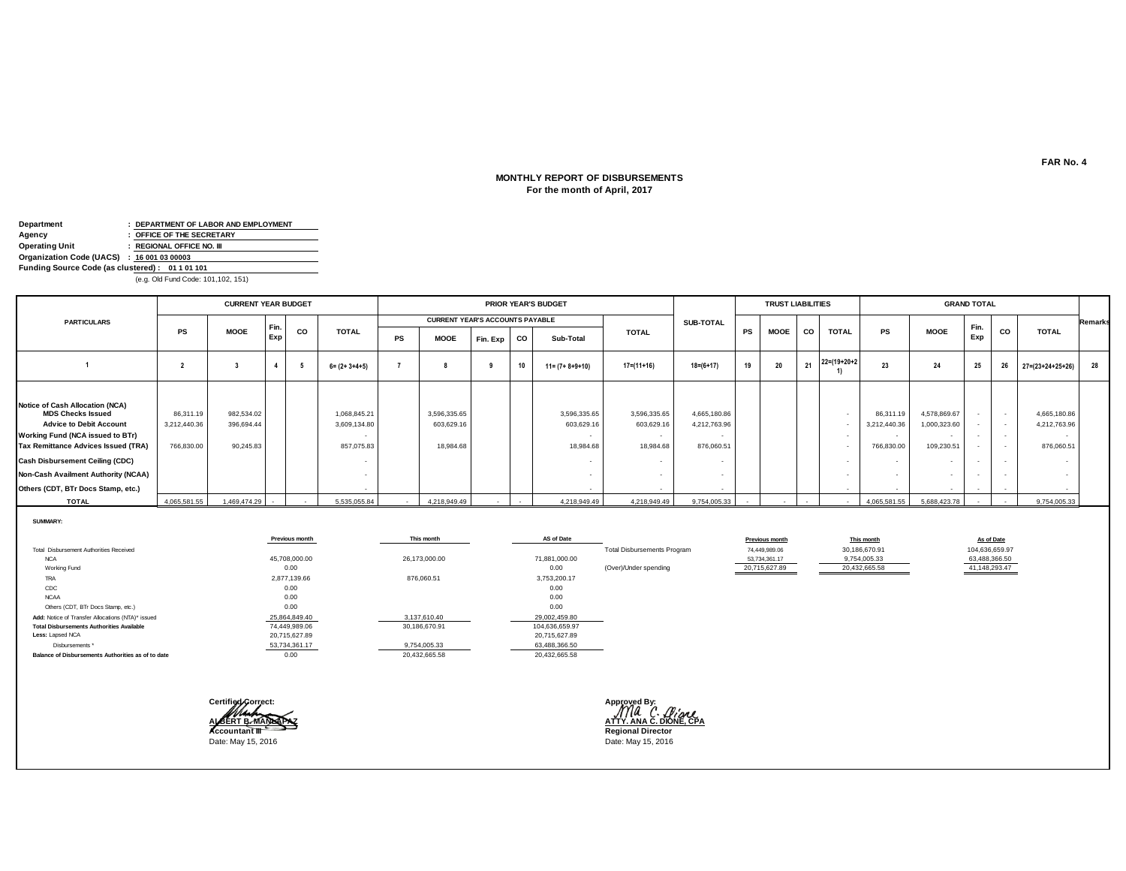### **MONTHLY REPORT OF DISBURSEMENTS For the month of April, 2017**

| Department                                      | : DEPARTMENT OF LABOR AND EMPLOYMENT |
|-------------------------------------------------|--------------------------------------|
| Agency                                          | : OFFICE OF THE SECRETARY            |
| <b>Operating Unit</b>                           | : REGIONAL OFFICE NO. III            |
| Organization Code (UACS) : 16 001 03 00003      |                                      |
| Funding Source Code (as clustered): 01 1 01 101 |                                      |
|                                                 | (e.g. Old Fund Code: 101 102 151)    |

(e.g. Old Fund Code: 101,102, 151)

|                                                                                                                                                                                                                                                                                                        |                                         | <b>CURRENT YEAR BUDGET</b>            |            |    |                                            |           | <b>PRIOR YEAR'S BUDGET</b>              |          |    |                                         |                                         |                                            | <b>TRUST LIABILITIES</b> |             |           |                      |                                                             | <b>GRAND TOTAL</b>                         |                  |                  |                                            |                |
|--------------------------------------------------------------------------------------------------------------------------------------------------------------------------------------------------------------------------------------------------------------------------------------------------------|-----------------------------------------|---------------------------------------|------------|----|--------------------------------------------|-----------|-----------------------------------------|----------|----|-----------------------------------------|-----------------------------------------|--------------------------------------------|--------------------------|-------------|-----------|----------------------|-------------------------------------------------------------|--------------------------------------------|------------------|------------------|--------------------------------------------|----------------|
| <b>PARTICULARS</b>                                                                                                                                                                                                                                                                                     |                                         |                                       |            |    |                                            |           | <b>CURRENT YEAR'S ACCOUNTS PAYABLE</b>  |          |    |                                         |                                         | SUB-TOTAL                                  |                          |             |           |                      |                                                             |                                            |                  |                  |                                            | <b>Remarks</b> |
|                                                                                                                                                                                                                                                                                                        | <b>PS</b>                               | <b>MOOE</b>                           | Fin<br>Exp | CO | <b>TOTAL</b>                               | <b>PS</b> | <b>MOOE</b>                             | Fin. Exp | co | Sub-Total                               | <b>TOTAL</b>                            |                                            | <b>PS</b>                | <b>MOOE</b> | <b>CO</b> | <b>TOTAL</b>         | <b>PS</b>                                                   | <b>MOOE</b>                                | Fin.<br>Exp      | <b>CO</b>        | <b>TOTAL</b>                               |                |
|                                                                                                                                                                                                                                                                                                        |                                         |                                       |            | -5 | $6 = (2 + 3 + 4 + 5)$                      |           |                                         |          | 10 | $11 = (7 + 8 + 9 + 10)$                 | $17=(11+16)$                            | $18 = (6 + 17)$                            | 19                       | 20          | 21        | $22 = (19 + 20 + 2)$ | 23                                                          | 24                                         | 25               | 26               | $27 = (23 + 24 + 25 + 26)$                 | 28             |
| Notice of Cash Allocation (NCA)<br><b>MDS Checks Issued</b><br><b>Advice to Debit Account</b><br>Working Fund (NCA issued to BTr)<br><b>Tax Remittance Advices Issued (TRA)</b><br><b>Cash Disbursement Ceiling (CDC)</b><br>Non-Cash Availment Authority (NCAA)<br>Others (CDT, BTr Docs Stamp, etc.) | 86,311.19<br>3,212,440.36<br>766,830.00 | 982,534.02<br>396,694.44<br>90,245.83 |            |    | 1,068,845.21<br>3,609,134.80<br>857,075.83 |           | 3,596,335.65<br>603,629.16<br>18,984.68 |          |    | 3,596,335.65<br>603,629.16<br>18,984.68 | 3,596,335.65<br>603,629.16<br>18,984.68 | 4,665,180.86<br>4,212,763.96<br>876,060.51 |                          |             |           |                      | 86,311.19<br>3,212,440.36<br>$\sim$<br>766,830.00<br>$\sim$ | 4,578,869.67<br>1,000,323.60<br>109,230.51 | $\sim$<br>$\sim$ | $\sim$<br>$\sim$ | 4,665,180.86<br>4,212,763.96<br>876,060.51 |                |
| <b>TOTAL</b>                                                                                                                                                                                                                                                                                           | 4,065,581.55                            | 1,469,474.29                          |            |    | 5,535,055.84                               | $\sim$    | 4,218,949.49                            |          |    | 4,218,949.49                            | 4,218,949.49                            | 9,754,005.33                               |                          |             |           |                      | 4,065,581.55                                                | 5,688,423.78                               |                  |                  | 9,754,005.33                               |                |

**SUMMARY:**

|                                                    | Previous month | This month    | AS of Date     |                                    | <b>Previous month</b> | This month    | As of Date     |
|----------------------------------------------------|----------------|---------------|----------------|------------------------------------|-----------------------|---------------|----------------|
| Total Disbursement Authorities Received            |                |               |                | <b>Total Disbursements Program</b> | 74,449,989.06         | 30,186,670.91 | 104,636,659.97 |
| <b>NCA</b>                                         | 45,708,000.00  | 26,173,000.00 | 71,881,000.00  |                                    | 53,734,361.17         | 9,754,005.33  | 63,488,366.50  |
| Working Fund                                       | 0.00           |               | 0.00           | (Over)/Under spending              | 20,715,627.89         | 20,432,665.58 | 41,148,293.47  |
| TRA                                                | 2,877,139.66   | 876,060.51    | 3,753,200.17   |                                    |                       |               |                |
| CDC                                                | 0.00           |               | 0.00           |                                    |                       |               |                |
| <b>NCAA</b>                                        | 0.00           |               | 0.00           |                                    |                       |               |                |
| Others (CDT, BTr Docs Stamp, etc.)                 | 0.00           |               | 0.00           |                                    |                       |               |                |
| Add: Notice of Transfer Allocations (NTA)* issued  | 25,864,849.40  | 3,137,610.40  | 29,002,459.80  |                                    |                       |               |                |
| <b>Total Disbursements Authorities Available</b>   | 74,449,989.06  | 30,186,670.91 | 104,636,659.97 |                                    |                       |               |                |
| Less: Lapsed NCA                                   | 20,715,627.89  |               | 20,715,627.89  |                                    |                       |               |                |
| Disbursements *                                    | 53,734,361.17  | 9,754,005.33  | 63,488,366.50  |                                    |                       |               |                |
| Balance of Disbursements Authorities as of to date | 0.00           | 20,432,665.58 | 20,432,665.58  |                                    |                       |               |                |



**ALBERT B. MANNAPAZ**<br> **ACCOUNTER IN THE REGION OF A REGIONAL PROPERTY. ANA C. DIONE, CPA**<br> **ACCOUNTER IN THE REGIONAL PROPERTY.** 

**FAR No. 4**

┑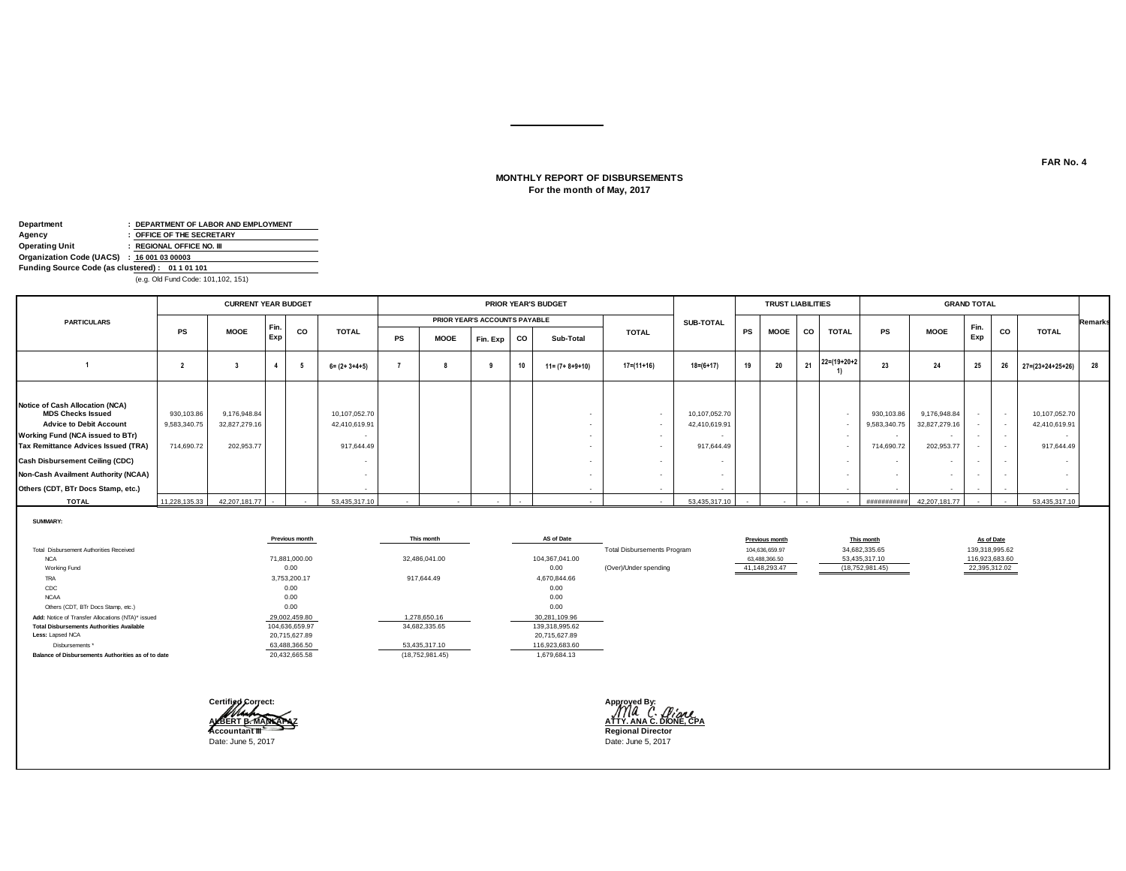### **For the month of May, 2017 MONTHLY REPORT OF DISBURSEMENTS**

| Department                                      | : DEPARTMENT OF LABOR AND EMPLOYMENT |
|-------------------------------------------------|--------------------------------------|
| Agency                                          | : OFFICE OF THE SECRETARY            |
| <b>Operating Unit</b>                           | : REGIONAL OFFICE NO. III            |
| Organization Code (UACS) : 16 001 03 00003      |                                      |
| Funding Source Code (as clustered): 01 1 01 101 |                                      |
|                                                 | (e.g. Old Fund Code: 101 102 151)    |

(e.g. Old Fund Code: 101,102, 151)

|                                                                                                                                                                                                                                                                                                        |                                          | <b>CURRENT YEAR BUDGET</b>                  |            |    |                                              |           |             |                               |        | PRIOR YEAR'S BUDGET     |              |                                              |           | <b>TRUST LIABILITIES</b> |           |                      |                                                              |                                                                         | <b>GRAND TOTAL</b>         |                          |                                              |                |
|--------------------------------------------------------------------------------------------------------------------------------------------------------------------------------------------------------------------------------------------------------------------------------------------------------|------------------------------------------|---------------------------------------------|------------|----|----------------------------------------------|-----------|-------------|-------------------------------|--------|-------------------------|--------------|----------------------------------------------|-----------|--------------------------|-----------|----------------------|--------------------------------------------------------------|-------------------------------------------------------------------------|----------------------------|--------------------------|----------------------------------------------|----------------|
| <b>PARTICULARS</b>                                                                                                                                                                                                                                                                                     |                                          |                                             |            |    |                                              |           |             | PRIOR YEAR'S ACCOUNTS PAYABLE |        |                         |              | <b>SUB-TOTAL</b>                             |           |                          |           |                      |                                                              |                                                                         |                            |                          |                                              | <b>Remarks</b> |
|                                                                                                                                                                                                                                                                                                        | <b>PS</b>                                | <b>MOOE</b>                                 | Fin<br>Exp | CO | <b>TOTAL</b>                                 | <b>PS</b> | <b>MOOE</b> | Fin. Exp                      | $ $ co | Sub-Total               | <b>TOTAL</b> |                                              | <b>PS</b> | <b>MOOE</b>              | <b>CO</b> | <b>TOTAL</b>         | <b>PS</b>                                                    | <b>MOOE</b>                                                             | Fin.<br>Exp                | CO                       | <b>TOTAL</b>                                 |                |
|                                                                                                                                                                                                                                                                                                        |                                          |                                             |            |    | $6 = (2 + 3 + 4 + 5)$                        |           |             |                               | 10     | $11 = (7 + 8 + 9 + 10)$ | $17=(11+16)$ | $18 = (6 + 17)$                              | 19        | 20                       | 21        | $22 = (19 + 20 + 2)$ | 23                                                           | 24                                                                      | 25                         | 26                       | $27 = (23 + 24 + 25 + 26)$                   | 28             |
| Notice of Cash Allocation (NCA)<br><b>MDS Checks Issued</b><br><b>Advice to Debit Account</b><br>Working Fund (NCA issued to BTr)<br><b>Tax Remittance Advices Issued (TRA)</b><br><b>Cash Disbursement Ceiling (CDC)</b><br>Non-Cash Availment Authority (NCAA)<br>Others (CDT, BTr Docs Stamp, etc.) | 930,103.86<br>9,583,340.75<br>714,690.72 | 9,176,948.84<br>32,827,279.16<br>202,953.77 |            |    | 10,107,052.70<br>42,410,619.91<br>917,644.49 |           |             |                               |        |                         |              | 10,107,052.70<br>42,410,619.91<br>917,644.49 |           |                          |           |                      | 930,103.86<br>9,583,340.75<br>714,690.72<br>$\sim$<br>$\sim$ | 9,176,948.84<br>32,827,279.16<br>202,953.77<br>$\overline{\phantom{a}}$ | $\sim$<br>$\sim$<br>$\sim$ | $\overline{\phantom{a}}$ | 10,107,052.70<br>42,410,619.91<br>917,644.49 |                |
| <b>TOTAL</b>                                                                                                                                                                                                                                                                                           | 11.228.135.33                            | 42.207.181.77                               | $\sim$     |    | 53.435.317.10                                |           |             |                               |        |                         |              | 53.435.317.10                                |           | $\sim$                   | $\sim$    |                      | ###########                                                  | 42.207.181.77                                                           | $\sim$                     |                          | 53,435,317.10                                |                |

**SUMMARY:**

|                                                    | Previous month | This month      | AS of Date     |                                    | Previous month | This month        | As of Date     |
|----------------------------------------------------|----------------|-----------------|----------------|------------------------------------|----------------|-------------------|----------------|
| Total Disbursement Authorities Received            |                |                 |                | <b>Total Disbursements Program</b> | 104.636.659.97 | 34,682,335.65     | 139,318,995.62 |
| <b>NCA</b>                                         | 71.881.000.00  | 32,486,041.00   | 104,367,041.00 |                                    | 63,488,366.50  | 53,435,317.10     | 116,923,683.60 |
| Working Fund                                       | 0.00           |                 | 0.00           | (Over)/Under spending              | 41,148,293.47  | (18, 752, 981.45) | 22,395,312.02  |
| <b>TRA</b>                                         | 3,753,200.17   | 917,644.49      | 4,670,844.66   |                                    |                |                   |                |
| CDC                                                | 0.00           |                 | 0.00           |                                    |                |                   |                |
| <b>NCAA</b>                                        | 0.00           |                 | 0.00           |                                    |                |                   |                |
| Others (CDT, BTr Docs Stamp, etc.)                 | 0.00           |                 | 0.00           |                                    |                |                   |                |
| Add: Notice of Transfer Allocations (NTA)* issued  | 29,002,459.80  | 1,278,650.16    | 30,281,109.96  |                                    |                |                   |                |
| <b>Total Disbursements Authorities Available</b>   | 104,636,659.97 | 34,682,335.65   | 139,318,995.62 |                                    |                |                   |                |
| Less: Lapsed NCA                                   | 20,715,627.89  |                 | 20,715,627.89  |                                    |                |                   |                |
| Disbursements *                                    | 63,488,366.50  | 53,435,317.10   | 116,923,683.60 |                                    |                |                   |                |
| Balance of Disbursements Authorities as of to date | 20,432,665.58  | (18,752,981.45) | 1,679,684.13   |                                    |                |                   |                |



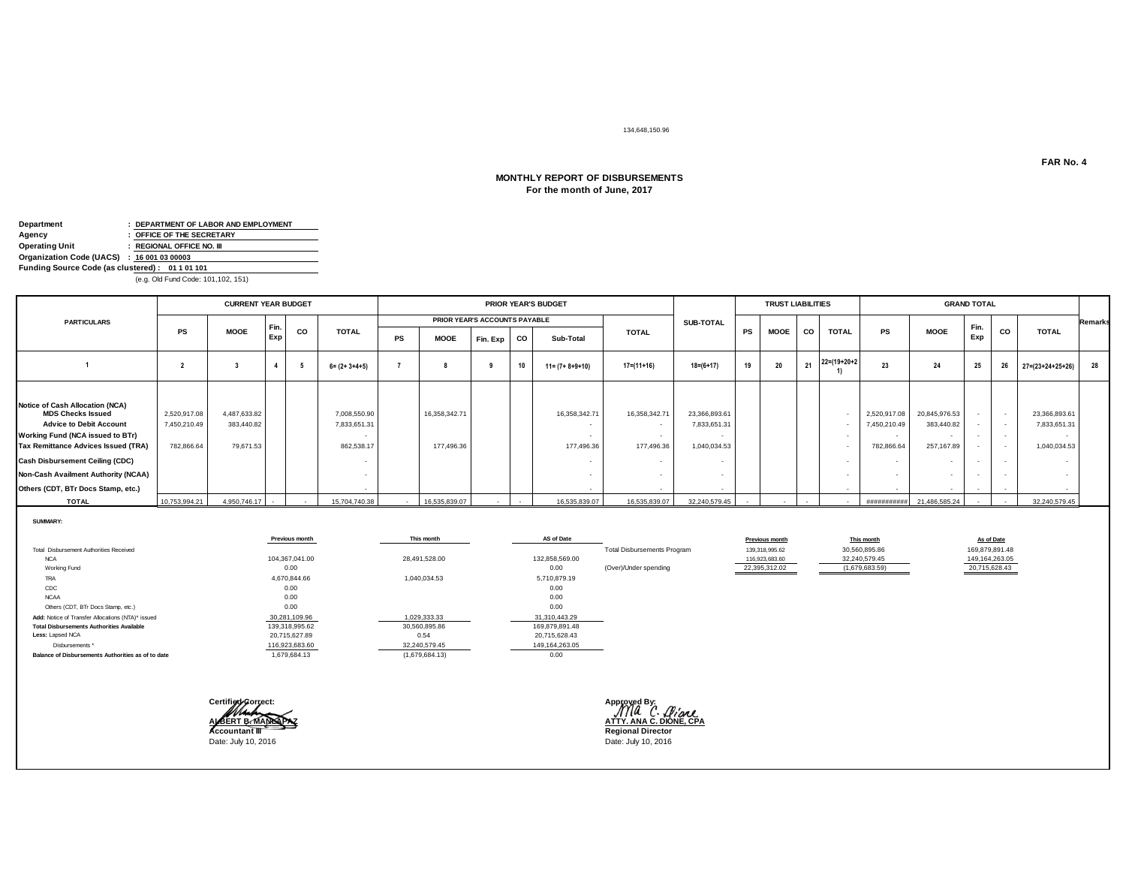#### 134,648,150.96

### **For the month of June, 2017 MONTHLY REPORT OF DISBURSEMENTS**

| Department                                      | : DEPARTMENT OF LABOR AND EMPLOYMENT |
|-------------------------------------------------|--------------------------------------|
| Agency                                          | : OFFICE OF THE SECRETARY            |
| <b>Operating Unit</b>                           | : REGIONAL OFFICE NO. III            |
| Organization Code (UACS) : 16 001 03 00003      |                                      |
| Funding Source Code (as clustered): 01 1 01 101 |                                      |
|                                                 | (e.g. Old Fund Code: 101 102 151)    |

(e.g. Old Fund Code: 101,102, 151)

|                                                                                                                                                                                                                                                                                                               |                                            | <b>CURRENT YEAR BUDGET</b>              |            |    |                                            |           |                               |          |    | <b>PRIOR YEAR'S BUDGET</b>  |                             |                                              |    | <b>TRUST LIABILITIES</b> |           |                      |                                                      |                                                                                                   | <b>GRAND TOTAL</b> |           |                                               |                |
|---------------------------------------------------------------------------------------------------------------------------------------------------------------------------------------------------------------------------------------------------------------------------------------------------------------|--------------------------------------------|-----------------------------------------|------------|----|--------------------------------------------|-----------|-------------------------------|----------|----|-----------------------------|-----------------------------|----------------------------------------------|----|--------------------------|-----------|----------------------|------------------------------------------------------|---------------------------------------------------------------------------------------------------|--------------------|-----------|-----------------------------------------------|----------------|
| <b>PARTICULARS</b>                                                                                                                                                                                                                                                                                            |                                            |                                         |            |    |                                            |           | PRIOR YEAR'S ACCOUNTS PAYABLE |          |    |                             |                             | <b>SUB-TOTAL</b>                             |    |                          |           |                      |                                                      |                                                                                                   |                    |           |                                               | <b>Remarks</b> |
|                                                                                                                                                                                                                                                                                                               | <b>PS</b>                                  | <b>MOOE</b>                             | Fin<br>Exp | CO | <b>TOTAL</b>                               | <b>PS</b> | <b>MOOE</b>                   | Fin. Exp | CO | Sub-Total                   | <b>TOTAL</b>                |                                              | PS | <b>MOOE</b>              | <b>CO</b> | <b>TOTAL</b>         | <b>PS</b>                                            | <b>MOOE</b>                                                                                       | Fin.<br>Exp        | <b>CO</b> | <b>TOTAL</b>                                  |                |
|                                                                                                                                                                                                                                                                                                               |                                            |                                         |            |    | $6 = (2 + 3 + 4 + 5)$                      |           |                               |          | 10 | $11 = (7 + 8 + 9 + 10)$     | $17 = (11 + 16)$            | $18 = (6 + 17)$                              | 19 | 20                       | 21        | $22 = (19 + 20 + 2)$ | 23                                                   | 24                                                                                                | 25                 | 26        | $27 = (23 + 24 + 25 + 26)$                    | 28             |
| <b>Notice of Cash Allocation (NCA)</b><br><b>MDS Checks Issued</b><br><b>Advice to Debit Account</b><br>Working Fund (NCA issued to BTr)<br><b>Tax Remittance Advices Issued (TRA)</b><br><b>Cash Disbursement Ceiling (CDC)</b><br>Non-Cash Availment Authority (NCAA)<br>Others (CDT, BTr Docs Stamp, etc.) | 2,520,917.08<br>7,450,210.49<br>782,866.64 | 4,487,633.82<br>383,440.82<br>79.671.53 |            |    | 7,008,550.90<br>7,833,651.31<br>862.538.17 |           | 16,358,342.71<br>177.496.36   |          |    | 16,358,342.71<br>177,496.36 | 16,358,342.71<br>177,496.36 | 23,366,893.61<br>7,833,651.3<br>1,040,034.53 |    |                          |           |                      | 2,520,917.08<br>7,450,210.49<br>$\sim$<br>782,866.64 | 20,845,976.53<br>383,440.82<br>$\overline{\phantom{a}}$<br>257,167.89<br>$\overline{\phantom{a}}$ | $\sim$             | $\sim$    | 23,366,893.61<br>7,833,651.31<br>1.040.034.53 |                |
| <b>TOTAL</b>                                                                                                                                                                                                                                                                                                  | 10,753,994.21                              | 4,950,746.17 -                          |            |    | 15,704,740.38                              |           | 16,535,839.07                 |          |    | 16,535,839.07               | 16,535,839.07               | 32,240,579.45                                |    |                          |           |                      | ###########                                          | 21,486,585.24                                                                                     |                    |           | 32,240,579.45                                 |                |

**SUMMARY:**

|                                                    | Previous month | This month     | AS of Date     |                                    | Previous month | This month     | As of Date     |
|----------------------------------------------------|----------------|----------------|----------------|------------------------------------|----------------|----------------|----------------|
| Total Disbursement Authorities Received            |                |                |                | <b>Total Disbursements Program</b> | 139,318,995.62 | 30,560,895.86  | 169,879,891.48 |
| <b>NCA</b>                                         | 104.367.041.00 | 28,491,528.00  | 132,858,569.00 |                                    | 116,923,683.60 | 32,240,579.45  | 149,164,263.05 |
| Working Fund                                       | 0.00           |                | 0.00           | (Over)/Under spending              | 22,395,312.02  | (1,679,683.59) | 20,715,628.43  |
| TRA                                                | 4,670,844.66   | 1,040,034.53   | 5,710,879.19   |                                    |                |                |                |
| CDC                                                | 0.00           |                | 0.00           |                                    |                |                |                |
| <b>NCAA</b>                                        | 0.00           |                | 0.00           |                                    |                |                |                |
| Others (CDT, BTr Docs Stamp, etc.)                 | 0.00           |                | 0.00           |                                    |                |                |                |
| Add: Notice of Transfer Allocations (NTA)* issued  | 30,281,109.96  | 1,029,333.33   | 31,310,443.29  |                                    |                |                |                |
| <b>Total Disbursements Authorities Available</b>   | 139,318,995.62 | 30,560,895.86  | 169,879,891.48 |                                    |                |                |                |
| Less: Lapsed NCA                                   | 20,715,627.89  | 0.54           | 20,715,628.43  |                                    |                |                |                |
| Disbursements *                                    | 116,923,683.60 | 32,240,579.45  | 149,164,263.05 |                                    |                |                |                |
| Balance of Disbursements Authorities as of to date | 1,679,684.13   | (1,679,684.13) | 0.00           |                                    |                |                |                |



**ALBERT BERT BERTHOLOGIST SCIENCE AREA CONFERENCE AND ALBERT BERTY.**<br>ALBERT B. MANLAPAZ ATTY. ANA C. DIONE, CPA<br>Accountant III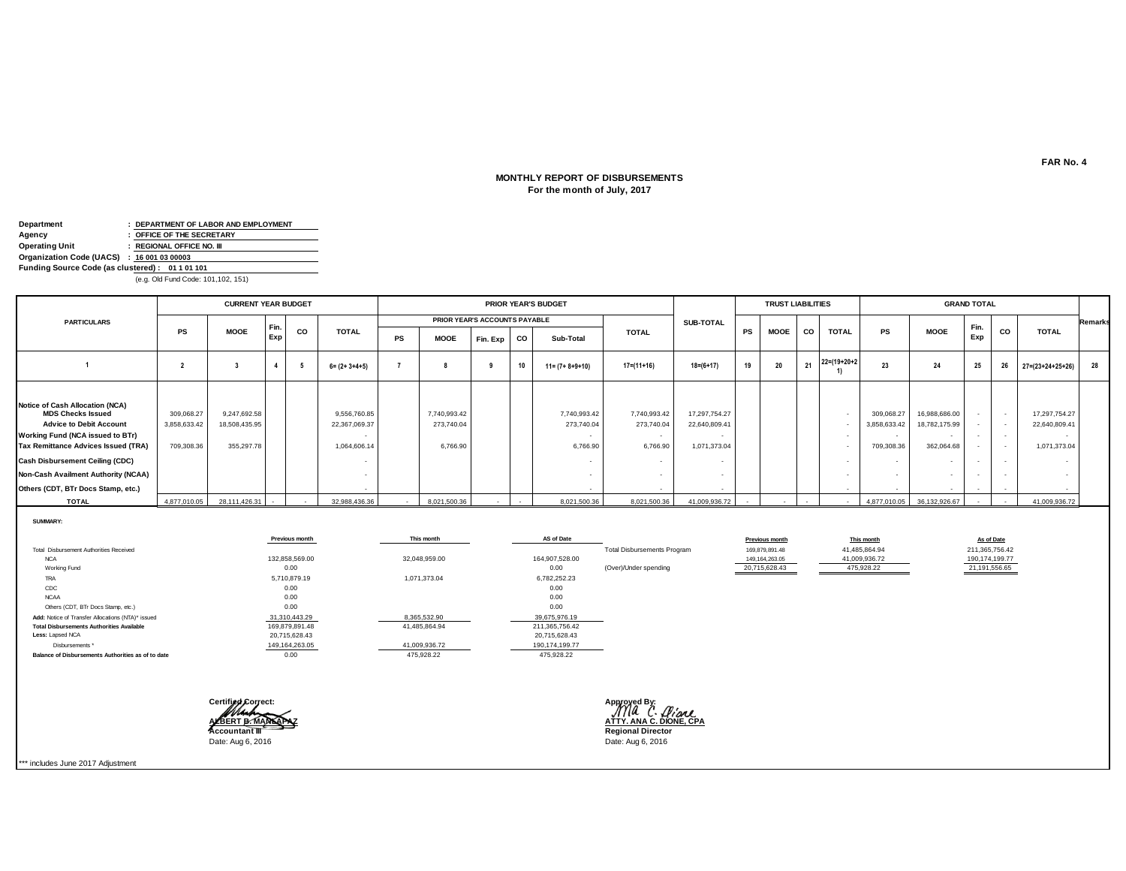### **For the month of July, 2017 MONTHLY REPORT OF DISBURSEMENTS**

| Department                                      | : DEPARTMENT OF LABOR AND EMPLOYMENT |
|-------------------------------------------------|--------------------------------------|
| Agency                                          | : OFFICE OF THE SECRETARY            |
| <b>Operating Unit</b>                           | : REGIONAL OFFICE NO. III            |
| Organization Code (UACS) : 16 001 03 00003      |                                      |
| Funding Source Code (as clustered): 01 1 01 101 |                                      |
|                                                 | (e.g. Old Fund Code: 101 102 151)    |

(e.g. Old Fund Code: 101,102, 151)

|                                                                                                                                                                                                                                                                                                               |                                          | <b>CURRENT YEAR BUDGET</b>                  |            |    |                                               |           |                                        |                               |    | <b>PRIOR YEAR'S BUDGET</b>             |                                        |                                                |           | <b>TRUST LIABILITIES</b> |           |                      |                                                    |                                              | <b>GRAND TOTAL</b> |        |                                                |                |
|---------------------------------------------------------------------------------------------------------------------------------------------------------------------------------------------------------------------------------------------------------------------------------------------------------------|------------------------------------------|---------------------------------------------|------------|----|-----------------------------------------------|-----------|----------------------------------------|-------------------------------|----|----------------------------------------|----------------------------------------|------------------------------------------------|-----------|--------------------------|-----------|----------------------|----------------------------------------------------|----------------------------------------------|--------------------|--------|------------------------------------------------|----------------|
| <b>PARTICULARS</b>                                                                                                                                                                                                                                                                                            |                                          |                                             |            |    |                                               |           |                                        | PRIOR YEAR'S ACCOUNTS PAYABLE |    |                                        |                                        | SUB-TOTAL                                      |           |                          |           |                      |                                                    |                                              |                    |        |                                                | <b>Remarks</b> |
|                                                                                                                                                                                                                                                                                                               | <b>PS</b>                                | <b>MOOE</b>                                 | Fin<br>Exp | CO | <b>TOTAL</b>                                  | <b>PS</b> | <b>MOOE</b>                            | Fin. Exp                      | co | Sub-Total                              | <b>TOTAL</b>                           |                                                | <b>PS</b> | <b>MOOE</b>              | <b>CO</b> | <b>TOTAL</b>         | <b>PS</b>                                          | <b>MOOE</b>                                  | Fin.<br>Exp        | CO     | <b>TOTAL</b>                                   |                |
|                                                                                                                                                                                                                                                                                                               |                                          |                                             |            |    | $6 = (2 + 3 + 4 + 5)$                         |           |                                        |                               | 10 | $11 = (7 + 8 + 9 + 10)$                | $17 = (11 + 16)$                       | $18 = (6 + 17)$                                | 19        | 20                       | 21        | $22 = (19 + 20 + 2)$ | 23                                                 | 24                                           | 25                 | 26     | $27 = (23 + 24 + 25 + 26)$                     | 28             |
| <b>Notice of Cash Allocation (NCA)</b><br><b>MDS Checks Issued</b><br><b>Advice to Debit Account</b><br>Working Fund (NCA issued to BTr)<br>Tax Remittance Advices Issued (TRA)<br><b>Cash Disbursement Ceiling (CDC)</b><br><b>Non-Cash Availment Authority (NCAA)</b><br>Others (CDT, BTr Docs Stamp, etc.) | 309,068.27<br>3,858,633.42<br>709,308.36 | 9,247,692.58<br>18,508,435.95<br>355,297.78 |            |    | 9,556,760.85<br>22,367,069.37<br>1,064,606.14 |           | 7,740,993.42<br>273,740.04<br>6,766.90 |                               |    | 7,740,993.42<br>273,740.04<br>6,766.90 | 7,740,993.42<br>273,740.04<br>6,766.90 | 17,297,754.27<br>22,640,809.41<br>1,071,373.04 |           |                          |           |                      | 309,068.27<br>3,858,633.42<br>709,308.36<br>$\sim$ | 16,988,686.00<br>18,782,175.99<br>362,064.68 | $\sim$<br>$\sim$   | $\sim$ | 17,297,754.27<br>22,640,809.41<br>1,071,373.04 |                |
| <b>TOTAL</b>                                                                                                                                                                                                                                                                                                  |                                          | 4,877,010.05 28,111,426.31                  | $\sim$     |    | 32,988,436.36                                 |           | 8,021,500.36                           |                               |    | 8,021,500.36                           | 8,021,500.36                           | 41,009,936.72                                  |           |                          |           |                      |                                                    | 4,877,010.05 36,132,926.67                   |                    |        | 41,009,936.72                                  |                |

**SUMMARY:**

|                                                    | Previous month | This month    | AS of Date     |                                    | Previous month   | This month    | As of Date     |
|----------------------------------------------------|----------------|---------------|----------------|------------------------------------|------------------|---------------|----------------|
| Total Disbursement Authorities Received            |                |               |                | <b>Total Disbursements Program</b> | 169,879,891.48   | 41,485,864.94 | 211,365,756.42 |
| <b>NCA</b>                                         | 132,858,569.00 | 32.048.959.00 | 164,907,528.00 |                                    | 149, 164, 263.05 | 41,009,936.72 | 190,174,199.77 |
| Working Fund                                       | 0.00           |               | 0.00           | (Over)/Under spending              | 20,715,628.43    | 475,928.22    | 21,191,556.65  |
| TRA                                                | 5,710,879.19   | 1,071,373.04  | 6,782,252.23   |                                    |                  |               |                |
| CDC                                                | 0.00           |               | 0.00           |                                    |                  |               |                |
| <b>NCAA</b>                                        | 0.00           |               | 0.00           |                                    |                  |               |                |
| Others (CDT, BTr Docs Stamp, etc.)                 | 0.00           |               | 0.00           |                                    |                  |               |                |
| Add: Notice of Transfer Allocations (NTA)* issued  | 31,310,443.29  | 8,365,532.90  | 39,675,976.19  |                                    |                  |               |                |
| <b>Total Disbursements Authorities Available</b>   | 169,879,891.48 | 41,485,864.94 | 211,365,756.42 |                                    |                  |               |                |
| Less: Lapsed NCA                                   | 20,715,628.43  |               | 20,715,628.43  |                                    |                  |               |                |
| Disbursements *                                    | 149,164,263.05 | 41,009,936.72 | 190,174,199.77 |                                    |                  |               |                |
| Balance of Disbursements Authorities as of to date | 0.00           | 475.928.22    | 475,928.22     |                                    |                  |               |                |





\*\*\* includes June 2017 Adjustment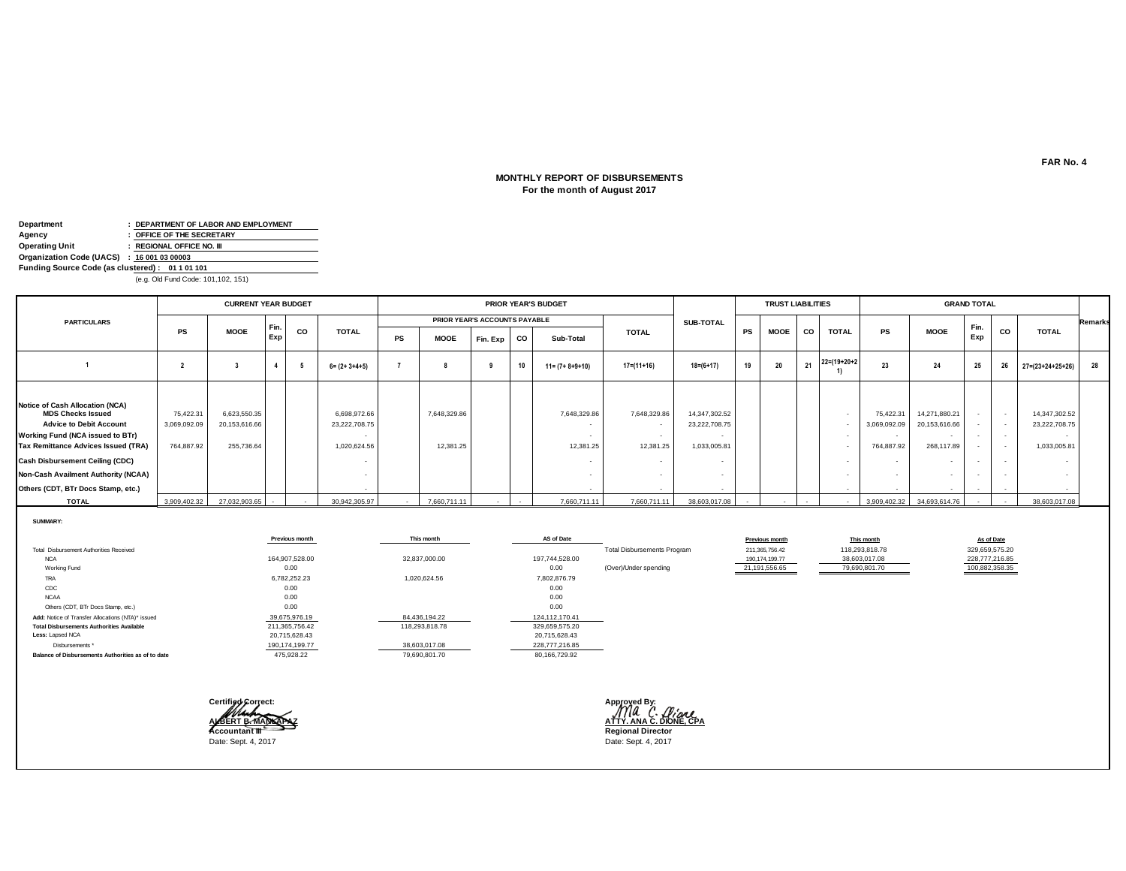### **MONTHLY REPORT OF DISBURSEMENTS For the month of August 2017**

| Department                                      | : DEPARTMENT OF LABOR AND EMPLOYMENT |
|-------------------------------------------------|--------------------------------------|
| Agency                                          | : OFFICE OF THE SECRETARY            |
| <b>Operating Unit</b>                           | : REGIONAL OFFICE NO. III            |
| Organization Code (UACS) : 16 001 03 00003      |                                      |
| Funding Source Code (as clustered): 01 1 01 101 |                                      |
|                                                 | (e.g. Old Fund Code: 101 102 151)    |

(e.g. Old Fund Code: 101,102, 151)

|                                                                                                                                                                                                                                                                                                               |                                         | <b>CURRENT YEAR BUDGET</b>                  |            |           |                                               |           |                               |          |           | <b>PRIOR YEAR'S BUDGET</b> |                           |                                                |    | <b>TRUST LIABILITIES</b> |           |                      |                                                   |                                                                                                      | <b>GRAND TOTAL</b> |           |                                                |                |
|---------------------------------------------------------------------------------------------------------------------------------------------------------------------------------------------------------------------------------------------------------------------------------------------------------------|-----------------------------------------|---------------------------------------------|------------|-----------|-----------------------------------------------|-----------|-------------------------------|----------|-----------|----------------------------|---------------------------|------------------------------------------------|----|--------------------------|-----------|----------------------|---------------------------------------------------|------------------------------------------------------------------------------------------------------|--------------------|-----------|------------------------------------------------|----------------|
| <b>PARTICULARS</b>                                                                                                                                                                                                                                                                                            |                                         |                                             |            |           |                                               |           | PRIOR YEAR'S ACCOUNTS PAYABLE |          |           |                            |                           | SUB-TOTAL                                      |    |                          |           |                      |                                                   |                                                                                                      |                    |           |                                                | <b>Remarks</b> |
|                                                                                                                                                                                                                                                                                                               | <b>PS</b>                               | <b>MOOE</b>                                 | Fin<br>Exp | <b>CO</b> | <b>TOTAL</b>                                  | <b>PS</b> | <b>MOOE</b>                   | Fin. Exp | <b>CO</b> | Sub-Total                  | <b>TOTAL</b>              |                                                | PS | <b>MOOE</b>              | <b>CO</b> | <b>TOTAL</b>         | <b>PS</b>                                         | <b>MOOE</b>                                                                                          | Fin.<br>Exp        | <b>CO</b> | <b>TOTAL</b>                                   |                |
|                                                                                                                                                                                                                                                                                                               |                                         |                                             |            |           | $6 = (2 + 3 + 4 + 5)$                         |           |                               |          | 10        | $11 = (7 + 8 + 9 + 10)$    | $17 = (11 + 16)$          | $18=(6+17)$                                    | 19 | 20                       | 21        | $22 = (19 + 20 + 2)$ | 23                                                | 24                                                                                                   | 25                 | 26        | $27 = (23 + 24 + 25 + 26)$                     | 28             |
| Notice of Cash Allocation (NCA)<br><b>MDS Checks Issued</b><br><b>Advice to Debit Account</b><br><b>Working Fund (NCA issued to BTr)</b><br><b>Tax Remittance Advices Issued (TRA)</b><br><b>Cash Disbursement Ceiling (CDC)</b><br>Non-Cash Availment Authority (NCAA)<br>Others (CDT, BTr Docs Stamp, etc.) | 75,422.31<br>3,069,092.09<br>764,887.92 | 6,623,550.35<br>20,153,616.66<br>255,736.64 |            |           | 6,698,972.66<br>23,222,708.75<br>1.020.624.56 |           | 7,648,329.86<br>12,381.25     |          |           | 7,648,329.86<br>12.381.25  | 7,648,329.86<br>12.381.25 | 14,347,302.52<br>23,222,708.75<br>1,033,005.81 |    |                          |           |                      | 75.422.31<br>3,069,092.09<br>$\sim$<br>764.887.92 | 14,271,880.21<br>20,153,616.66<br>$\overline{\phantom{a}}$<br>268,117.89<br>$\overline{\phantom{a}}$ | $\sim$             | $\sim$    | 14,347,302.52<br>23,222,708.75<br>1,033,005.81 |                |
| <b>TOTAL</b>                                                                                                                                                                                                                                                                                                  | 3,909,402.32                            | 27,032,903.65                               | $\sim$     |           | 30,942,305.97                                 |           | 7,660,711.11                  |          |           | 7,660,711.11               | 7,660,711.11              | 38,603,017.08                                  |    |                          |           |                      |                                                   | 3,909,402.32 34,693,614.76                                                                           |                    |           | 38,603,017.08                                  |                |

**SUMMARY:**

|                                                    | Previous month | This month     | AS of Date     |                                    | Previous month   | This month     | As of Date     |
|----------------------------------------------------|----------------|----------------|----------------|------------------------------------|------------------|----------------|----------------|
| Total Disbursement Authorities Received            |                |                |                | <b>Total Disbursements Program</b> | 211,365,756.42   | 118,293,818.78 | 329,659,575.20 |
| <b>NCA</b>                                         | 164,907,528.00 | 32,837,000.00  | 197.744.528.00 |                                    | 190, 174, 199.77 | 38,603,017.08  | 228,777,216.85 |
| Working Fund                                       | 0.00           |                | 0.00           | (Over)/Under spending              | 21,191,556.65    | 79,690,801.70  | 100,882,358.35 |
| TRA                                                | 6,782,252.23   | 1,020,624.56   | 7,802,876.79   |                                    |                  |                |                |
| CDC                                                | 0.00           |                | 0.00           |                                    |                  |                |                |
| <b>NCAA</b>                                        | 0.00           |                | 0.00           |                                    |                  |                |                |
| Others (CDT, BTr Docs Stamp, etc.)                 | 0.00           |                | 0.00           |                                    |                  |                |                |
| Add: Notice of Transfer Allocations (NTA)* issued  | 39,675,976.19  | 84,436,194.22  | 124,112,170.41 |                                    |                  |                |                |
| <b>Total Disbursements Authorities Available</b>   | 211,365,756.42 | 118,293,818.78 | 329,659,575.20 |                                    |                  |                |                |
| Less: Lapsed NCA                                   | 20,715,628.43  |                | 20,715,628.43  |                                    |                  |                |                |
| Disbursements *                                    | 190,174,199.77 | 38,603,017.08  | 228,777,216.85 |                                    |                  |                |                |
| Balance of Disbursements Authorities as of to date | 475.928.22     | 79,690,801.70  | 80,166,729.92  |                                    |                  |                |                |



**ALBERT B. MANLAPAZ**<br> **Accountant III**<br> **Accountant III** 

**FAR No. 4**

┑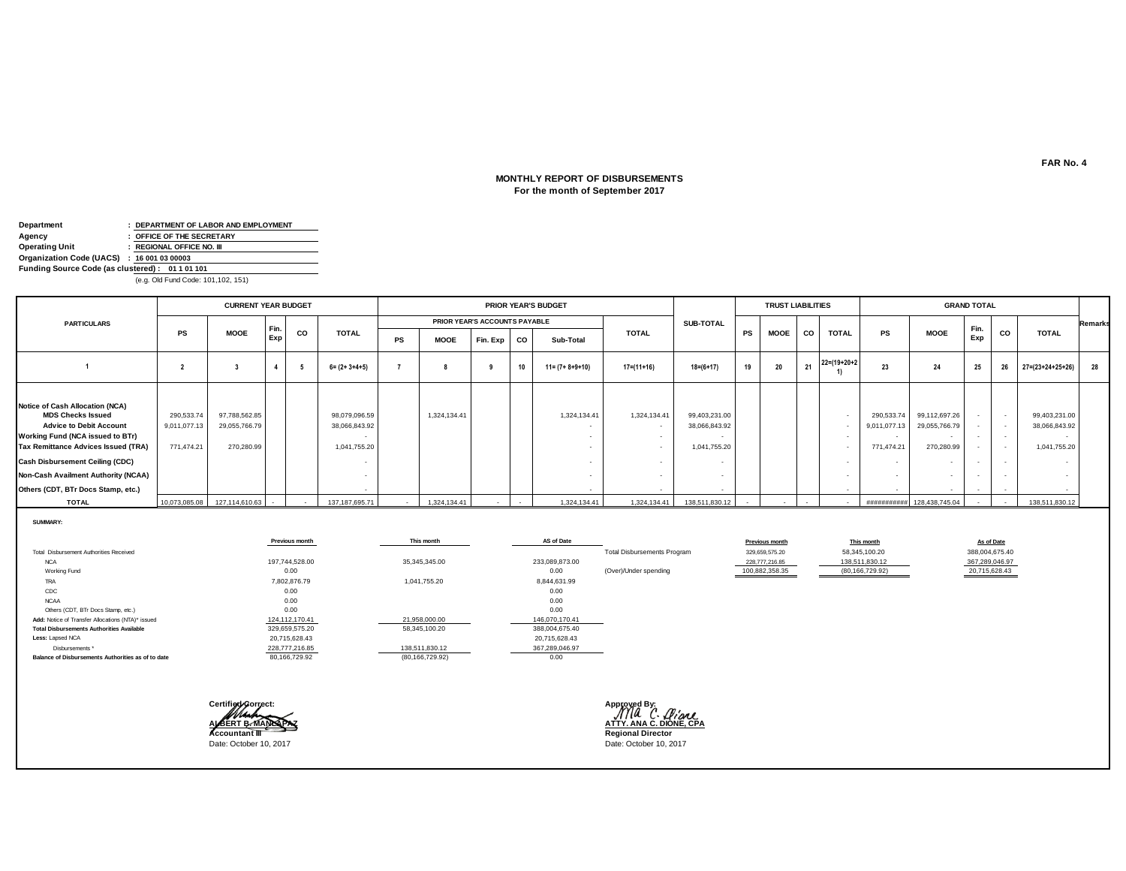# **For the month of September 2017 MONTHLY REPORT OF DISBURSEMENTS**

| Department                                      | : DEPARTMENT OF LABOR AND EMPLOYMENT  |
|-------------------------------------------------|---------------------------------------|
| Agency                                          | : OFFICE OF THE SECRETARY             |
| <b>Operating Unit</b>                           | : REGIONAL OFFICE NO. III             |
| Organization Code (UACS) : 16 001 03 00003      |                                       |
| Funding Source Code (as clustered): 01 1 01 101 |                                       |
|                                                 | $(a, a, 0]$ d Eund Code: 101 102 151) |

(e.g. Old Fund Code: 101,102, 151)

|                                                                                                                                                                                                                                                                                                               |                                          | <b>CURRENT YEAR BUDGET</b>                   |            |    |                                                |    |              |                               |    | <b>PRIOR YEAR'S BUDGET</b> |                        |                                                |           | <b>TRUST LIABILITIES</b> |           |                      |                                                              |                                              | <b>GRAND TOTAL</b>                   |                                    |                                                |                |
|---------------------------------------------------------------------------------------------------------------------------------------------------------------------------------------------------------------------------------------------------------------------------------------------------------------|------------------------------------------|----------------------------------------------|------------|----|------------------------------------------------|----|--------------|-------------------------------|----|----------------------------|------------------------|------------------------------------------------|-----------|--------------------------|-----------|----------------------|--------------------------------------------------------------|----------------------------------------------|--------------------------------------|------------------------------------|------------------------------------------------|----------------|
| <b>PARTICULARS</b>                                                                                                                                                                                                                                                                                            |                                          |                                              |            |    |                                                |    |              | PRIOR YEAR'S ACCOUNTS PAYABLE |    |                            |                        | SUB-TOTAL                                      |           |                          |           |                      |                                                              |                                              |                                      |                                    |                                                | <b>Remarks</b> |
|                                                                                                                                                                                                                                                                                                               | <b>PS</b>                                | <b>MOOE</b>                                  | Fin<br>Exp | CO | <b>TOTAL</b>                                   | PS | <b>MOOE</b>  | Fin. Exp                      | CO | Sub-Total                  | <b>TOTAL</b>           |                                                | <b>PS</b> | <b>MOOE</b>              | <b>CO</b> | <b>TOTAL</b>         | <b>PS</b>                                                    | <b>MOOE</b>                                  | Fin.<br>Exp                          | CO                                 | <b>TOTAL</b>                                   |                |
|                                                                                                                                                                                                                                                                                                               |                                          |                                              |            |    | $6 = (2 + 3 + 4 + 5)$                          |    |              |                               | 10 | $11 = (7 + 8 + 9 + 10)$    | $17 = (11 + 16)$       | $18 = (6 + 17)$                                | 19        | 20                       | 21        | $22 = (19 + 20 + 2)$ | 23                                                           | 24                                           | 25                                   | 26                                 | $27 = (23 + 24 + 25 + 26)$                     | 28             |
| Notice of Cash Allocation (NCA)<br><b>MDS Checks Issued</b><br><b>Advice to Debit Account</b><br>Working Fund (NCA issued to BTr)<br><b>Tax Remittance Advices Issued (TRA)</b><br><b>Cash Disbursement Ceiling (CDC)</b><br><b>Non-Cash Availment Authority (NCAA)</b><br>Others (CDT, BTr Docs Stamp, etc.) | 290,533.74<br>9,011,077.13<br>771,474.21 | 97,788,562.85<br>29,055,766.79<br>270,280.99 |            |    | 98,079,096.59<br>38,066,843.92<br>1,041,755.20 |    | 1,324,134.41 |                               |    | 1,324,134.41               | 1,324,134.41<br>$\sim$ | 99,403,231.00<br>38,066,843.92<br>1,041,755.20 |           |                          |           |                      | 290,533.74<br>9,011,077.13<br>771,474.21<br>$\sim$<br>$\sim$ | 99,112,697.26<br>29,055,766.79<br>270,280.99 | $\sim$<br>$\sim$<br>$\sim$<br>$\sim$ | $\overline{\phantom{a}}$<br>$\sim$ | 99,403,231.00<br>38,066,843.92<br>1,041,755.20 |                |
| <b>TOTAL</b>                                                                                                                                                                                                                                                                                                  |                                          | 10,073,085.08  127,114,610.63  -             |            |    | 137, 187, 695. 71                              |    | 1,324,134.41 |                               |    | 1,324,134.41               |                        | 1,324,134.41   138,511,830.12                  |           |                          |           |                      |                                                              | ########### 128,438,745.04                   | $\sim$                               |                                    | 138,511,830.12                                 |                |

**SUMMARY:**

|                                                    | Previous month | This month        | AS of Date     |                                    | Previous month | This month        | As of Date     |
|----------------------------------------------------|----------------|-------------------|----------------|------------------------------------|----------------|-------------------|----------------|
| Total Disbursement Authorities Received            |                |                   |                | <b>Total Disbursements Program</b> | 329,659,575.20 | 58,345,100.20     | 388,004,675.40 |
| <b>NCA</b>                                         | 197,744,528.00 | 35,345,345.00     | 233,089,873.00 |                                    | 228,777,216.85 | 138,511,830.12    | 367,289,046.97 |
| Working Fund                                       | 0.00           |                   | 0.00           | (Over)/Under spending              | 100,882,358.35 | (80, 166, 729.92) | 20,715,628.43  |
| <b>TRA</b>                                         | 7,802,876.79   | 1,041,755.20      | 8,844,631.99   |                                    |                |                   |                |
| CDC                                                | 0.00           |                   | 0.00           |                                    |                |                   |                |
| <b>NCAA</b>                                        | 0.00           |                   | 0.00           |                                    |                |                   |                |
| Others (CDT, BTr Docs Stamp, etc.)                 | 0.00           |                   | 0.00           |                                    |                |                   |                |
| Add: Notice of Transfer Allocations (NTA)* issued  | 124,112,170.41 | 21,958,000.00     | 146,070,170.41 |                                    |                |                   |                |
| <b>Total Disbursements Authorities Available</b>   | 329,659,575.20 | 58,345,100.20     | 388,004,675.40 |                                    |                |                   |                |
| Less: Lapsed NCA                                   | 20,715,628.43  |                   | 20,715,628.43  |                                    |                |                   |                |
| Disbursements *                                    | 228,777,216.85 | 138,511,830.12    | 367.289.046.97 |                                    |                |                   |                |
| Balance of Disbursements Authorities as of to date | 80,166,729.92  | (80, 166, 729.92) | 0.00           |                                    |                |                   |                |

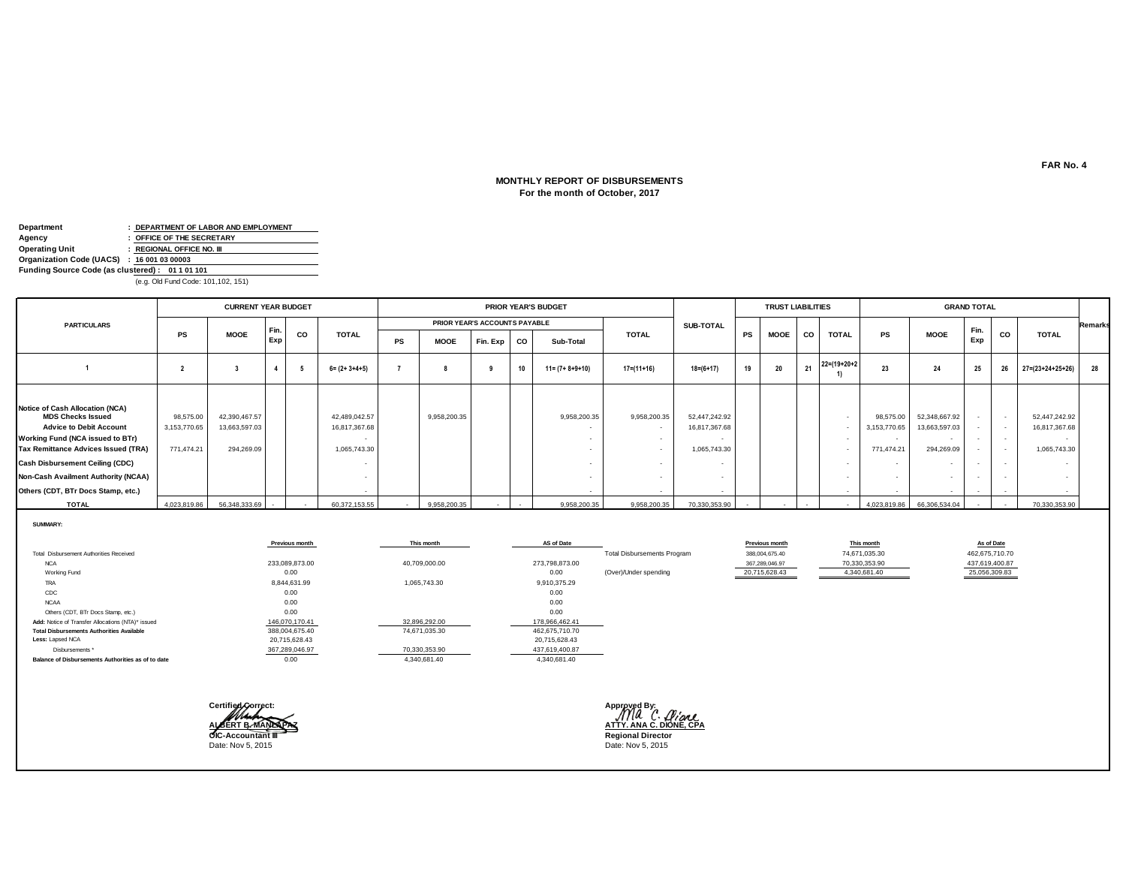# **For the month of October, 2017 MONTHLY REPORT OF DISBURSEMENTS**

| Department                                      | : DEPARTMENT OF LABOR AND EMPLOYMENT |
|-------------------------------------------------|--------------------------------------|
| Agency                                          | : OFFICE OF THE SECRETARY            |
| Operating Unit                                  | : REGIONAL OFFICE NO. III            |
| Organization Code (UACS) : 16 001 03 00003      |                                      |
| Funding Source Code (as clustered): 01 1 01 101 |                                      |
|                                                 |                                      |

(e.g. Old Fund Code: 101,102, 151)

|                                                                                                                                                                                                                                                                                                        |                                         | <b>CURRENT YEAR BUDGET</b>                   |            |           |                                                          |           |                               |          |           | PRIOR YEAR'S BUDGET     |                  |                                                |           | <b>TRUST LIABILITIES</b> |           |                      |                                                                                 |                                                                                                                                  | <b>GRAND TOTAL</b>         |    |                                                |                |
|--------------------------------------------------------------------------------------------------------------------------------------------------------------------------------------------------------------------------------------------------------------------------------------------------------|-----------------------------------------|----------------------------------------------|------------|-----------|----------------------------------------------------------|-----------|-------------------------------|----------|-----------|-------------------------|------------------|------------------------------------------------|-----------|--------------------------|-----------|----------------------|---------------------------------------------------------------------------------|----------------------------------------------------------------------------------------------------------------------------------|----------------------------|----|------------------------------------------------|----------------|
| <b>PARTICULARS</b>                                                                                                                                                                                                                                                                                     |                                         |                                              |            |           |                                                          |           | PRIOR YEAR'S ACCOUNTS PAYABLE |          |           |                         |                  | SUB-TOTAL                                      |           |                          |           |                      |                                                                                 |                                                                                                                                  |                            |    |                                                | <b>Remarks</b> |
|                                                                                                                                                                                                                                                                                                        | <b>PS</b>                               | <b>MOOE</b>                                  | Fir<br>Exp | <b>CO</b> | <b>TOTAL</b>                                             | <b>PS</b> | <b>MOOE</b>                   | Fin. Exp | <b>CO</b> | Sub-Total               | <b>TOTAL</b>     |                                                | <b>PS</b> | <b>MOOE</b>              | <b>CO</b> | <b>TOTAL</b>         | <b>PS</b>                                                                       | <b>MOOE</b>                                                                                                                      | Fin.<br>Exp                | CO | <b>TOTAL</b>                                   |                |
|                                                                                                                                                                                                                                                                                                        |                                         |                                              |            |           | $6 = (2 + 3 + 4 + 5)$                                    |           |                               |          | 10        | $11 = (7 + 8 + 9 + 10)$ | $17 = (11 + 16)$ | $18 = (6 + 17)$                                | 19        | 20                       | 21        | $22 = (19 + 20 + 2)$ | 23                                                                              | 24                                                                                                                               | 25                         | 26 | $27 = (23 + 24 + 25 + 26)$                     | 28             |
| Notice of Cash Allocation (NCA)<br><b>MDS Checks Issued</b><br><b>Advice to Debit Account</b><br>Working Fund (NCA issued to BTr)<br><b>Tax Remittance Advices Issued (TRA)</b><br><b>Cash Disbursement Ceiling (CDC)</b><br>Non-Cash Availment Authority (NCAA)<br>Others (CDT, BTr Docs Stamp, etc.) | 98,575.00<br>3,153,770.65<br>771,474.21 | 42,390,467.57<br>13,663,597.03<br>294,269.09 |            |           | 42,489,042.57<br>16,817,367.68<br>1,065,743.30<br>$\sim$ |           | 9,958,200.35                  |          |           | 9,958,200.35            | 9,958,200.35     | 52,447,242.92<br>16,817,367.68<br>1,065,743.30 |           |                          |           |                      | 98,575.00<br>3,153,770.65<br>$\sim$<br>771,474.21<br>$\sim$<br>$\sim$<br>$\sim$ | 52,348,667.92<br>13,663,597.03<br>$\overline{\phantom{a}}$<br>294,269.09<br>$\overline{\phantom{a}}$<br>$\overline{\phantom{a}}$ | $\sim$<br>$\sim$<br>$\sim$ |    | 52,447,242.92<br>16,817,367.68<br>1,065,743.30 |                |
| <b>TOTAL</b>                                                                                                                                                                                                                                                                                           | 4,023,819.86                            | 56,348,333.69                                |            |           | 60,372,153.55                                            |           | 9,958,200.35                  |          |           | 9,958,200.35            | 9,958,200.35     | 70,330,353.90                                  |           |                          |           |                      | 4.023.819.86                                                                    | 66,306,534.04                                                                                                                    |                            |    | 70,330,353.90                                  |                |

**SUMMARY:**

|                                                    | Previous month | This month    | AS of Date     |                                    | Previous month | This month    | As of Date     |
|----------------------------------------------------|----------------|---------------|----------------|------------------------------------|----------------|---------------|----------------|
| Total Disbursement Authorities Received            |                |               |                | <b>Total Disbursements Program</b> | 388,004,675.40 | 74,671,035.30 | 462,675,710.70 |
| <b>NCA</b>                                         | 233,089,873.00 | 40,709,000.00 | 273,798,873.00 |                                    | 367,289,046.97 | 70,330,353.90 | 437,619,400.87 |
| Working Fund                                       | 0.00           |               | 0.00           | (Over)/Under spending              | 20,715,628.43  | 4,340,681.40  | 25,056,309.83  |
| TRA                                                | 8,844,631.99   | 1,065,743.30  | 9,910,375.29   |                                    |                |               |                |
| CDC                                                | 0.00           |               | 0.00           |                                    |                |               |                |
| <b>NCAA</b>                                        | 0.00           |               | 0.00           |                                    |                |               |                |
| Others (CDT, BTr Docs Stamp, etc.)                 | 0.00           |               | 0.00           |                                    |                |               |                |
| Add: Notice of Transfer Allocations (NTA)* issued  | 146,070,170.41 | 32,896,292.00 | 178,966,462.41 |                                    |                |               |                |
| <b>Total Disbursements Authorities Available</b>   | 388,004,675.40 | 74,671,035.30 | 462,675,710.70 |                                    |                |               |                |
| Less: Lapsed NCA                                   | 20,715,628.43  |               | 20,715,628.43  |                                    |                |               |                |
| Disbursements *                                    | 367,289,046.97 | 70,330,353.90 | 437,619,400.87 |                                    |                |               |                |
| Balance of Disbursements Authorities as of to date | 0.00           | 4,340,681.40  | 4,340,681.40   |                                    |                |               |                |



Date: Nov 5, 2015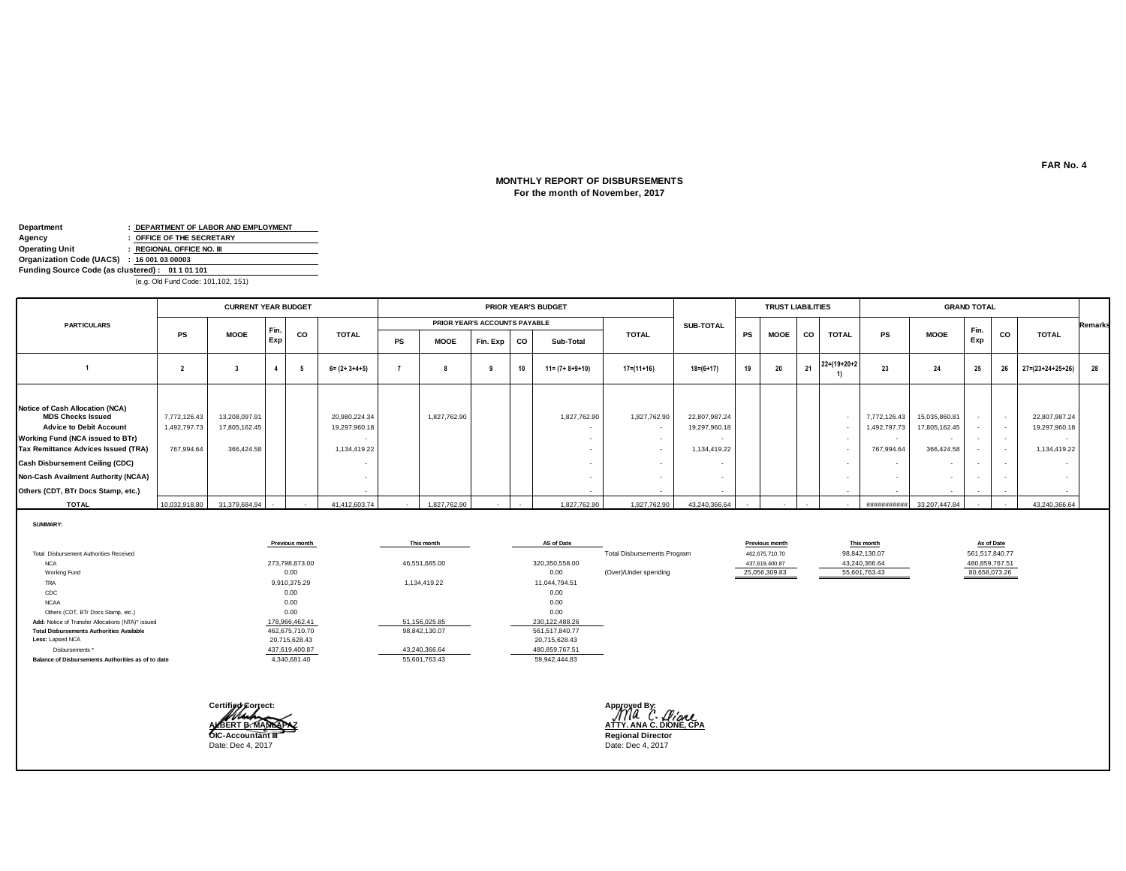# **For the month of November, 2017 MONTHLY REPORT OF DISBURSEMENTS**

| Department                                      | : DEPARTMENT OF LABOR AND EMPLOYMENT |
|-------------------------------------------------|--------------------------------------|
| Agency                                          | : OFFICE OF THE SECRETARY            |
| Operating Unit                                  | : REGIONAL OFFICE NO. III            |
| Organization Code (UACS) : 16 001 03 00003      |                                      |
| Funding Source Code (as clustered): 01 1 01 101 |                                      |
|                                                 |                                      |

(e.g. Old Fund Code: 101,102, 151)

| PRIOR YEAR'S ACCOUNTS PAYABLE<br>SUB-TOTAL<br><b>PARTICULARS</b><br>Fin.<br>Fir<br>CO<br>CO<br><b>MOOE</b><br><b>TOTAL</b><br><b>TOTAL</b><br><b>MOOE</b><br><b>TOTAL</b><br><b>TOTAL</b><br><b>PS</b><br><b>PS</b><br><b>PS</b><br><b>MOOE</b><br><b>CO</b><br>Exp<br>Exp<br><b>PS</b><br>Fin. Exp CO<br>Sub-Total<br><b>MOOE</b><br>$21 \t22 = (19+20+2)$<br>28<br>20<br>25<br>19<br>23<br>10<br>$18 = (6 + 17)$<br>24<br>$17=(11+16)$<br>26<br>$27 = (23 + 24 + 25 + 26)$<br>$11 = (7 + 8 + 9 + 10)$<br>$6 = (2 + 3 + 4 + 5)$<br>Notice of Cash Allocation (NCA)<br><b>MDS Checks Issued</b><br>13,208,097.91<br>20,980,224.34<br>22,807,987.24<br>22,807,987.24<br>1,827,762.90<br>1,827,762.90<br>1,827,762.90<br>15,035,860.81<br>7,772,126.43<br>7,772,126.43<br><b>Advice to Debit Account</b><br>17,805,162.45<br>19,297,960.18<br>17,805,162.45<br>19,297,960.18<br>1,492,797.73<br>19,297,960.18<br>492,797.73<br>Working Fund (NCA issued to BTr)<br>$\sim$<br>$\sim$<br><b>Tax Remittance Advices Issued (TRA)</b><br>366,424.58<br>767,994.64<br>366,424.58<br>1,134,419.22<br>1,134,419.22<br>1,134,419.22<br>767,994.64<br><b>Cash Disbursement Ceiling (CDC)</b><br>$\sim$<br>Non-Cash Availment Authority (NCAA)<br>$\overline{\phantom{a}}$<br>$\sim$<br>$\overline{\phantom{a}}$<br>Others (CDT, BTr Docs Stamp, etc.)<br>$\sim$<br>$\sim$<br>$\overline{\phantom{a}}$ |  | <b>CURRENT YEAR BUDGET</b> |  |  |  | PRIOR YEAR'S BUDGET |  | <b>TRUST LIABILITIES</b> |  |  | <b>GRAND TOTAL</b> |  |                |
|--------------------------------------------------------------------------------------------------------------------------------------------------------------------------------------------------------------------------------------------------------------------------------------------------------------------------------------------------------------------------------------------------------------------------------------------------------------------------------------------------------------------------------------------------------------------------------------------------------------------------------------------------------------------------------------------------------------------------------------------------------------------------------------------------------------------------------------------------------------------------------------------------------------------------------------------------------------------------------------------------------------------------------------------------------------------------------------------------------------------------------------------------------------------------------------------------------------------------------------------------------------------------------------------------------------------------------------------------------------------------------------------|--|----------------------------|--|--|--|---------------------|--|--------------------------|--|--|--------------------|--|----------------|
|                                                                                                                                                                                                                                                                                                                                                                                                                                                                                                                                                                                                                                                                                                                                                                                                                                                                                                                                                                                                                                                                                                                                                                                                                                                                                                                                                                                            |  |                            |  |  |  |                     |  |                          |  |  |                    |  | <b>Remarks</b> |
|                                                                                                                                                                                                                                                                                                                                                                                                                                                                                                                                                                                                                                                                                                                                                                                                                                                                                                                                                                                                                                                                                                                                                                                                                                                                                                                                                                                            |  |                            |  |  |  |                     |  |                          |  |  |                    |  |                |
|                                                                                                                                                                                                                                                                                                                                                                                                                                                                                                                                                                                                                                                                                                                                                                                                                                                                                                                                                                                                                                                                                                                                                                                                                                                                                                                                                                                            |  |                            |  |  |  |                     |  |                          |  |  |                    |  |                |
| <b>TOTAL</b><br>31,379,684.94<br>1,827,762.90<br>1,827,762.90<br>1,827,762.90<br>33,207,447.84<br>43,240,366.64<br>10,032,918.80<br>41,412,603.74<br>43,240,366.64<br>###########<br>$\sim$<br>$\sim$                                                                                                                                                                                                                                                                                                                                                                                                                                                                                                                                                                                                                                                                                                                                                                                                                                                                                                                                                                                                                                                                                                                                                                                      |  |                            |  |  |  |                     |  |                          |  |  |                    |  |                |

**SUMMARY:**

|                                                    | Previous month | This month    | AS of Date     |                                    | Previous month | This month    | As of Date                |
|----------------------------------------------------|----------------|---------------|----------------|------------------------------------|----------------|---------------|---------------------------|
| Total Disbursement Authorities Received            |                |               |                | <b>Total Disbursements Program</b> | 462,675,710.70 | 98,842,130.07 | 561,517,840.77            |
| <b>NCA</b>                                         | 273,798,873.00 | 46,551,685.00 | 320,350,558.00 |                                    | 437,619,400.87 | 43,240,366.64 | 480,859,767.51            |
| Working Fund                                       | 0.00           |               | 0.00           | (Over)/Under spending              | 25,056,309.83  | 55,601,763.43 | 80,658,073.26<br>$\cdots$ |
| <b>TRA</b>                                         | 9,910,375.29   | 1,134,419.22  | 11,044,794.51  |                                    |                |               |                           |
| CDC                                                | 0.00           |               | 0.00           |                                    |                |               |                           |
| <b>NCAA</b>                                        | 0.00           |               | 0.00           |                                    |                |               |                           |
| Others (CDT, BTr Docs Stamp, etc.)                 | 0.00           |               | 0.00           |                                    |                |               |                           |
| Add: Notice of Transfer Allocations (NTA)* issued  | 178,966,462.41 | 51,156,025.85 | 230,122,488.26 |                                    |                |               |                           |
| <b>Total Disbursements Authorities Available</b>   | 462,675,710.70 | 98,842,130.07 | 561,517,840.77 |                                    |                |               |                           |
| Less: Lapsed NCA                                   | 20,715,628.43  |               | 20,715,628.43  |                                    |                |               |                           |
| Disbursements *                                    | 437,619,400.87 | 43,240,366.64 | 480,859,767.51 |                                    |                |               |                           |
| Balance of Disbursements Authorities as of to date | 4,340,681.40   | 55,601,763.43 | 59,942,444.83  |                                    |                |               |                           |
|                                                    |                |               |                |                                    |                |               |                           |



Date: Dec 4, 2017